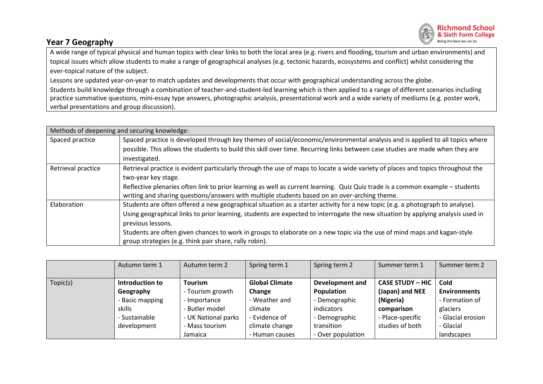## **Year 7 Geography**



A wide range of typical physical and human topics with clear links to both the local area (e.g. rivers and flooding, tourism and urban environments) and topical issues which allow students to make a range of geographical analyses (e.g. tectonic hazards, ecosystems and conflict) whilst considering the ever-topical nature of the subject.

Lessons are updated year-on-year to match updates and developments that occur with geographical understanding across the globe. Students build knowledge through a combination of teacher-and-student-led learning which is then applied to a range of different scenarios including practice summative questions, mini-essay type answers, photographic analysis, presentational work and a wide variety of mediums (e.g. poster work, verbal presentations and group discussion).

| Methods of deepening and securing knowledge: |                                                                                                                                 |  |  |  |  |  |
|----------------------------------------------|---------------------------------------------------------------------------------------------------------------------------------|--|--|--|--|--|
| Spaced practice                              | Spaced practice is developed through key themes of social/economic/environmental analysis and is applied to all topics where    |  |  |  |  |  |
|                                              | possible. This allows the students to build this skill over time. Recurring links between case studies are made when they are   |  |  |  |  |  |
|                                              | investigated.                                                                                                                   |  |  |  |  |  |
| Retrieval practice                           | Retrieval practice is evident particularly through the use of maps to locate a wide variety of places and topics throughout the |  |  |  |  |  |
|                                              | two-year key stage.                                                                                                             |  |  |  |  |  |
|                                              | Reflective plenaries often link to prior learning as well as current learning. Quiz Quiz trade is a common example - students   |  |  |  |  |  |
|                                              | writing and sharing questions/answers with multiple students based on an over-arching theme.                                    |  |  |  |  |  |
| Elaboration                                  | Students are often offered a new geographical situation as a starter activity for a new topic (e.g. a photograph to analyse).   |  |  |  |  |  |
|                                              | Using geographical links to prior learning, students are expected to interrogate the new situation by applying analysis used in |  |  |  |  |  |
|                                              | previous lessons.                                                                                                               |  |  |  |  |  |
|                                              | Students are often given chances to work in groups to elaborate on a new topic via the use of mind maps and kagan-style         |  |  |  |  |  |
|                                              | group strategies (e.g. think pair share, rally robin).                                                                          |  |  |  |  |  |

|          | Autumn term 1   | Autumn term 2       | Spring term 1         | Spring term 2          | Summer term 1           | Summer term 2       |
|----------|-----------------|---------------------|-----------------------|------------------------|-------------------------|---------------------|
|          |                 |                     |                       |                        |                         |                     |
| Topic(s) | Introduction to | <b>Tourism</b>      | <b>Global Climate</b> | <b>Development and</b> | <b>CASE STUDY - HIC</b> | Cold                |
|          | Geography       | - Tourism growth    | Change                | Population             | (Japan) and NEE         | <b>Environments</b> |
|          | - Basic mapping | - Importance        | - Weather and         | - Demographic          | (Nigeria)               | - Formation of      |
|          | skills          | - Butler model      | climate               | indicators             | comparison              | glaciers            |
|          | - Sustainable   | - UK National parks | - Evidence of         | - Demographic          | - Place-specific        | - Glacial erosion   |
|          | development     | - Mass tourism      | climate change        | transition             | studies of both         | - Glacial           |
|          |                 | Jamaica             | - Human causes        | - Over population      |                         | landscapes          |